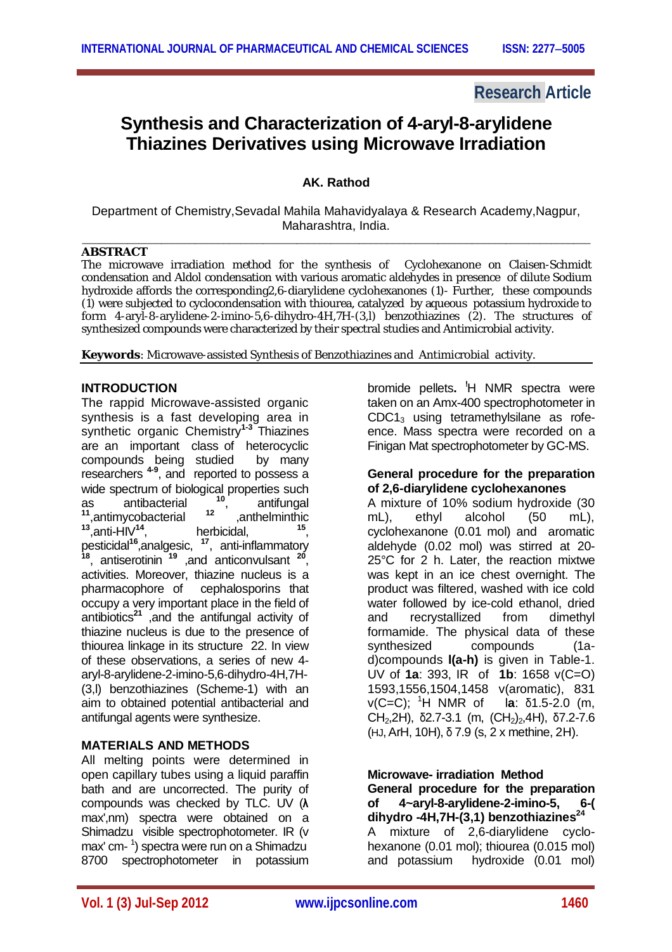# **Research Article**

# **Synthesis and Characterization of 4-aryl-8-arylidene Thiazines Derivatives using Microwave Irradiation**

## **AK. Rathod**

Department of Chemistry,Sevadal Mahila Mahavidyalaya & Research Academy,Nagpur, Maharashtra, India. \_\_\_\_\_\_\_\_\_\_\_\_\_\_\_\_\_\_\_\_\_\_\_\_\_\_\_\_\_\_\_\_\_\_\_\_\_\_\_\_\_\_\_\_\_\_\_\_\_\_\_\_\_\_\_\_\_\_\_\_\_\_\_\_\_\_\_\_\_\_\_\_\_\_\_\_\_\_\_\_\_\_\_\_\_\_\_\_\_\_

#### **ABSTRACT**

The microwave irradiation method for the synthesis of Cyclohexanone on Claisen-Schmidt condensation and Aldol condensation with various aromatic aldehydes in presence of dilute Sodium hydroxide affords the corresponding2,6-diarylidene cyclohexanones (1)- Further, these compounds (1) were subjected to cyclocondensation with thiourea, catalyzed by aqueous potassium hydroxide to form 4-aryl-8-arylidene-2-imino-5,6-dihydro-4H,7H-(3,l) benzothiazines (2). The structures of synthesized compounds were characterized by their spectral studies and Antimicrobial activity.

**Keywords**: Microwave-assisted Synthesis of Benzothiazines and Antimicrobial activity.

### **INTRODUCTION**

The rappid Microwave-assisted organic synthesis is a fast developing area in synthetic organic Chemistry**1-3** Thiazines are an important class of heterocyclic compounds being studied by many researchers **4-9** , and reported to possess a wide spectrum of biological properties such<br>as  $\qquad$  antibacterial  $\qquad^{10}$ . antifungal antibacterial <sup>10</sup>,<br>VCObacterial <sup>12</sup> , antifungal <sup>11</sup>,antimycobacterial <sup>12</sup> ,anthelminthic<br><sup>13</sup>,anti-HIV<sup>14</sup>, herbicidal, <sup>15</sup> ,anthelminthic , pesticidal**<sup>16</sup>** ,analgesic, **<sup>17</sup>** , anti-inflammatory <sup>18</sup>, antiserotinin<sup>19</sup>, and anticonvulsant <sup>20</sup>, activities. Moreover, thiazine nucleus is a pharmacophore of cephalosporins that occupy a very important place in the field of antibiotics**<sup>21</sup>** ,and the antifungal activity of thiazine nucleus is due to the presence of thiourea linkage in its structure 22. In view of these observations, a series of new 4 aryl-8-arylidene-2-imino-5,6-dihydro-4H,7H- (3,l) benzothiazines (Scheme-1) with an aim to obtained potential antibacterial and antifungal agents were synthesize.

#### **MATERIALS AND METHODS**

All melting points were determined in open capillary tubes using a liquid paraffin bath and are uncorrected. The purity of compounds was checked by TLC. UV (**λ** max',nm) spectra were obtained on a Shimadzu visible spectrophotometer. IR (v max' cm-1 ) spectra were run on a Shimadzu 8700 spectrophotometer in potassium

bromide pellets**. !**H NMR spectra were taken on an Amx-400 spectrophotometer in CDC1<sup>3</sup> using tetramethylsilane as rofeence. Mass spectra were recorded on a Finigan Mat spectrophotometer by GC-MS.

#### **General procedure for the preparation of 2,6-diarylidene cyclohexanones**

A mixture of 10% sodium hydroxide (30 mL), ethyl alcohol (50 mL), cyclohexanone (0.01 mol) and aromatic aldehyde (0.02 mol) was stirred at 20- 25°C for 2 h. Later, the reaction mixtwe was kept in an ice chest overnight. The product was filtered, washed with ice cold water followed by ice-cold ethanol, dried and recrystallized from dimethyl formamide. The physical data of these synthesized compounds (1ad)compounds **l(a-h)** is given in Table-1. UV of **1a**: 393, IR of **1b**: 1658 v(C=O) 1593,1556,1504,1458 v(aromatic), 831 v(C=C); <sup>1</sup>H NMR of l**a**: δ1.5-2.0 (m, CH<sub>2</sub>,2H), δ2.7-3.1 (m, (CH<sub>2</sub>)<sub>2</sub>,4H), δ7.2-7.6 (HJ,ArH, 10H), δ 7.9 (s, 2 x methine, 2H).

**Microwave- irradiation Method General procedure for the preparation of 4~aryl-8-arylidene-2-imino-5, 6-( dihydro -4H,7H-(3,1) benzothiazines<sup>24</sup>** A mixture of 2,6-diarylidene cyclohexanone (0.01 mol); thiourea (0.015 mol) and potassium hydroxide (0.01 mol)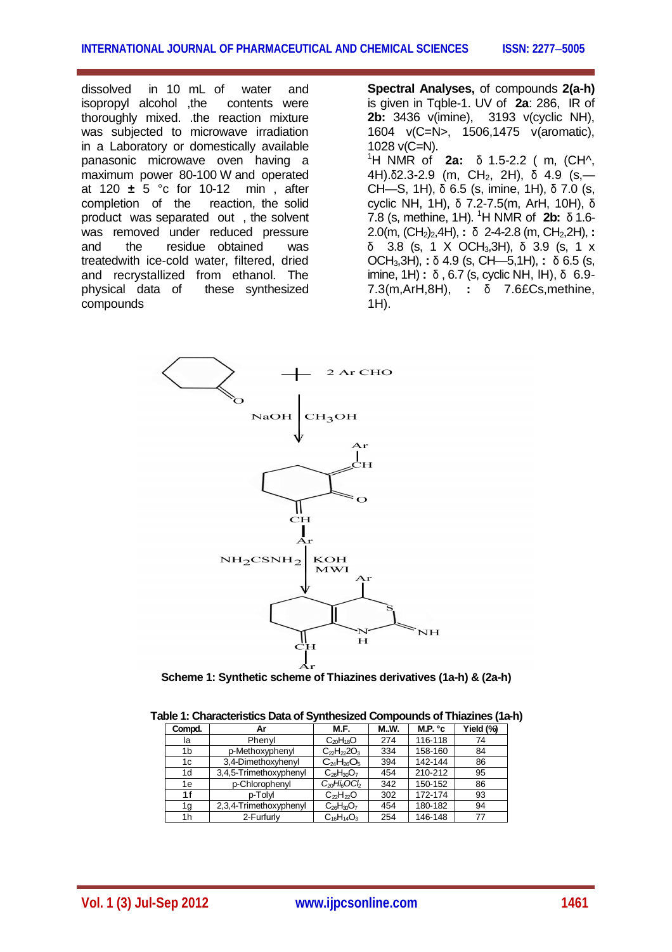dissolved in 10 mL of water and isopropyl alcohol ,the contents were thoroughly mixed. .the reaction mixture was subjected to microwave irradiation in a Laboratory or domestically available panasonic microwave oven having a maximum power 80-100 W and operated at 120 **±** 5 °c for 10-12 min , after completion of the reaction, the solid product was separated out , the solvent was removed under reduced pressure and the residue obtained was treatedwith ice-cold water, filtered, dried and recrystallized from ethanol. The physical data of these synthesized compounds

**Spectral Analyses,** of compounds **2(a-h)**  is given in Tqble-1. UV of **2a**: 286, IR of **2b:** 3436 v(imine), 3193 v(cyclic NH), 1604 v(C=N>, 1506,1475 v(aromatic), 1028 v(C=N). <sup>1</sup>H NMR of **2a:** δ 1.5-2.2 ( m, (CH^, 4H). $δ2.3-2.9$  (m, CH<sub>2</sub>, 2H),  $δ$  4.9 (s,— CH—S, 1H), δ 6.5 (s, imine, 1H), δ 7.0 (s, cyclic NH, 1H), δ 7.2-7.5(m, ArH, 10H), δ 7.8 (s, methine, 1H). <sup>1</sup>H NMR of **2b:** δ 1.6- 2.0(m, (CH2)2,4H), **:** δ 2-4-2.8 (m, CH2,2H), **:**  δ 3.8 (s, 1 X OCH3,3H), δ 3.9 (s, 1 x OCH3,3H), **:** δ 4.9 (s, CH—5,1H), **:** δ 6.5 (s, imine, 1H) **:** δ , 6.7 (s, cyclic NH, lH), δ 6.9- 7.3(m,ArH,8H), **:** δ 7.6£Cs,methine, 1H).



**Scheme 1: Synthetic scheme of Thiazines derivatives (1a-h) & (2a-h)**

| abic 1. Ondractoristics Data or Oynthicsized Oompounds or initiazines (Ta |                        |                                          |      |                   |           |  |
|---------------------------------------------------------------------------|------------------------|------------------------------------------|------|-------------------|-----------|--|
| Compd.                                                                    | Αr                     | M.F.                                     | M.W. | M.P. $^{\circ}$ c | Yield (%) |  |
| la                                                                        | Phenyl                 | $C_{20}H_{18}O$                          | 274  | 116-118           | 74        |  |
| 1b                                                                        | p-Methoxyphenyl        | $C_{22}H_{22}O_3$                        | 334  | 158-160           | 84        |  |
| 1c                                                                        | 3,4-Dimethoxyhenyl     | $C_{24}H_{26}O_5$                        | 394  | 142-144           | 86        |  |
| 1d                                                                        | 3,4,5-Trimethoxyphenyl | $C_{26}H_{30}O_7$                        | 454  | 210-212           | 95        |  |
| 1e                                                                        | p-Chlorophenyl         | $C_{20}$ Hi <sub>6</sub> OC <sub>b</sub> | 342  | 150-152           | 86        |  |
| 1f                                                                        | p-Tolvl                | $C_{22}H_{22}O$                          | 302  | 172-174           | 93        |  |
| 1g                                                                        | 2,3,4-Trimethoxyphenyl | $C_{26}H_{30}O_7$                        | 454  | 180-182           | 94        |  |
| 1h                                                                        | 2-Furfurly             | $C_{16}H_{14}O_3$                        | 254  | 146-148           | 77        |  |

**Table 1: Characteristics Data of Synthesized Compounds of Thiazines (1a-h)**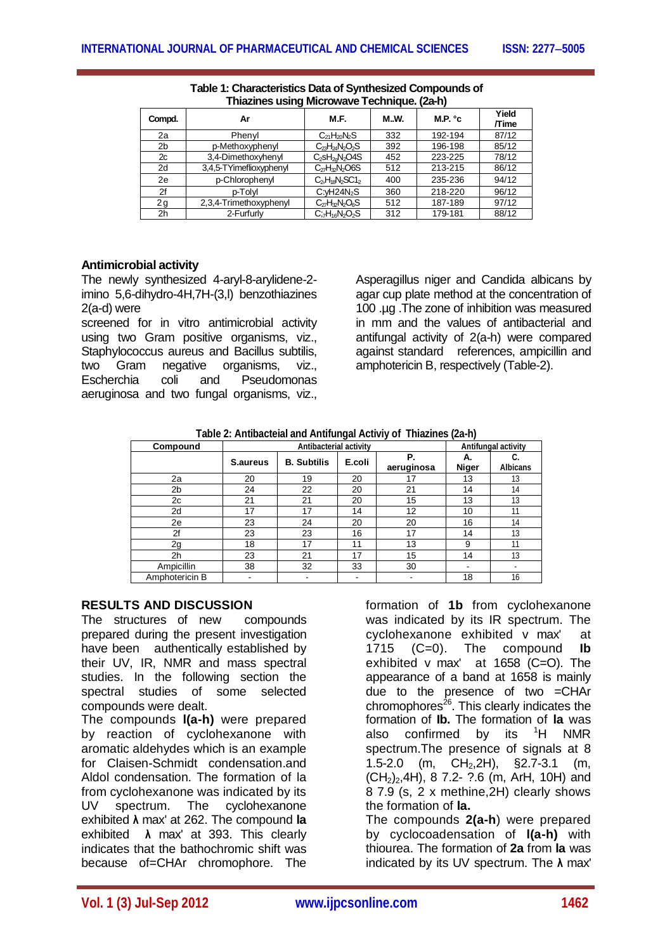| Compd.         | Ar                      | M.F.                                                  | <b>M.W.</b> | M.P. $^{\circ}$ c | Yield<br><b>Time</b> |
|----------------|-------------------------|-------------------------------------------------------|-------------|-------------------|----------------------|
| 2a             | Phenvl                  | $C_{21}H_{20}N_2S$                                    | 332         | 192-194           | 87/12                |
| 2 <sub>b</sub> | p-Methoxyphenyl         | $C_{23}H_{24}N_2O_2S$                                 | 392         | 196-198           | 85/12                |
| 2c             | 3,4-Dimethoxyhenyl      | $C_2$ s $H_{20}N_2$ O4S                               | 452         | 223-225           | 78/12                |
| 2d             | 3,4,5-TYimeflioxyphenyl | $C_{27}H_{12}N_2OS$                                   | 512         | 213-215           | 86/12                |
| 2e             | p-Chlorophenyl          | $C_2$ H <sub>18</sub> N <sub>2</sub> SC1 <sub>2</sub> | 400         | 235-236           | 94/12                |
| 2f             | p-Tolvl                 | C: vH24N <sub>2</sub> S                               | 360         | 218-220           | 96/12                |
| 2g             | 2,3,4-Trimethoxyphenyl  | $C_{27}H_{32}N_2O_6S$                                 | 512         | 187-189           | 97/12                |
| 2 <sub>h</sub> | 2-Furfurly              | $C: H_{16}N_2O_2S$                                    | 312         | 179-181           | 88/12                |

| Table 1: Characteristics Data of Synthesized Compounds of |
|-----------------------------------------------------------|
| Thiazines using Microwave Technique. (2a-h)               |

## **Antimicrobial activity**

The newly synthesized 4-aryl-8-arylidene-2 imino 5,6-dihydro-4H,7H-(3,l) benzothiazines 2(a-d) were

screened for in vitro antimicrobial activity using two Gram positive organisms, viz., Staphylococcus aureus and Bacillus subtilis, two Gram negative organisms, viz.,<br>Escherchia coli and Pseudomonas Escherchia coli and Pseudomonas aeruginosa and two fungal organisms, viz.,

Asperagillus niger and Candida albicans by agar cup plate method at the concentration of 100 .µg .The zone of inhibition was measured in mm and the values of antibacterial and antifungal activity of 2(a-h) were compared against standard references, ampicillin and amphotericin B, respectively (Table-2).

| Compound       | Antibacterial activity |                    |        |                  | Antifungal activity |                       |
|----------------|------------------------|--------------------|--------|------------------|---------------------|-----------------------|
|                | <b>S</b> .aureus       | <b>B.</b> Subtilis | E.coli | Р.<br>aeruginosa | А.<br><b>Niger</b>  | C.<br><b>Albicans</b> |
| 2a             | 20                     | 19                 | 20     | 17               | 13                  | 13                    |
| 2 <sub>b</sub> | 24                     | 22                 | 20     | 21               | 14                  | 14                    |
| 2c             | 21                     | 21                 | 20     | 15               | 13                  | 13                    |
| 2d             | 17                     | 17                 | 14     | 12               | 10                  | 11                    |
| 2e             | 23                     | 24                 | 20     | 20               | 16                  | 14                    |
| 2f             | 23                     | 23                 | 16     | 17               | 14                  | 13                    |
| 2g             | 18                     | 17                 | 11     | 13               | 9                   | 11                    |
| 2 <sub>h</sub> | 23                     | 21                 | 17     | 15               | 14                  | 13                    |
| Ampicillin     | 38                     | 32                 | 33     | 30               | -                   |                       |
| Amphotericin B |                        |                    | ۰      |                  | 18                  | 16                    |

## **RESULTS AND DISCUSSION**

The structures of new compounds prepared during the present investigation have been authentically established by their UV, IR, NMR and mass spectral studies. In the following section the spectral studies of some selected compounds were dealt.

The compounds **l(a-h)** were prepared by reaction of cyclohexanone with aromatic aldehydes which is an example for Claisen-Schmidt condensation and Aldol condensation. The formation of la from cyclohexanone was indicated by its UV spectrum. The cyclohexanone exhibited **λ** max' at 262. The compound **la** exhibited **λ** max' at 393. This clearly indicates that the bathochromic shift was because of=CHAr chromophore. The

formation of **1b** from cyclohexanone was indicated by its IR spectrum. The cyclohexanone exhibited v max' at 1715 (C=0). The compound **Ib** exhibited v max' at 1658 (C=O). The appearance of a band at 1658 is mainly due to the presence of two =CHAr chromophores<sup>26</sup>. This clearly indicates the formation of **Ib.** The formation of **la** was also confirmed by its  ${}^{1}H$  NMR spectrum. The presence of signals at 8 1.5-2.0 (m. CH<sub>2</sub>.2H), §2.7-3.1 (m.  $(CH<sub>2</sub>)<sub>2</sub>,4H$ , 8 7.2- ?.6 (m, ArH, 10H) and 8 7.9 (s, 2 x methine,2H) clearly shows the formation of **la.** The compounds **2(a-h**) were prepared

by cyclocoadensation of **l(a-h)** with thiourea. The formation of **2a** from **la** was indicated by its UV spectrum. The **λ** max'